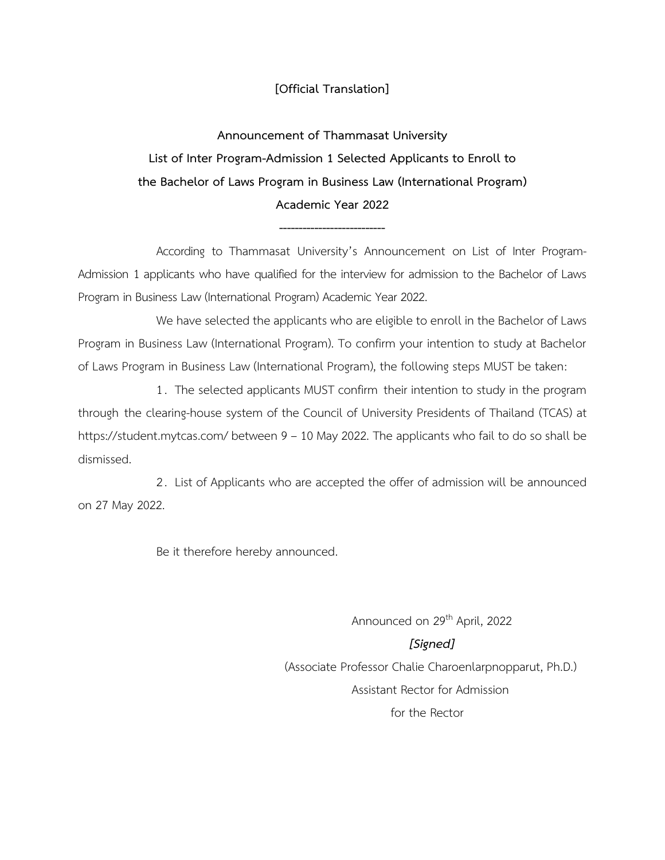#### **[Official Translation]**

**Announcement of Thammasat University List of Inter Program-Admission 1 Selected Applicants to Enroll to the Bachelor of Laws Program in Business Law (International Program) Academic Year 2022**

According to Thammasat University's Announcement on List of Inter Program-Admission 1 applicants who have qualified for the interview for admission to the Bachelor of Laws Program in Business Law (International Program) Academic Year 2022.

**---------------------------**

We have selected the applicants who are eligible to enroll in the Bachelor of Laws Program in Business Law (International Program). To confirm your intention to study at Bachelor of Laws Program in Business Law (International Program), the following steps MUST be taken:

1. The selected applicants MUST confirm their intention to study in the program through the clearing-house system of the Council of University Presidents of Thailand (TCAS) at https://student.mytcas.com/ between 9 – 10 May 2022. The applicants who fail to do so shall be dismissed.

2. List of Applicants who are accepted the offer of admission will be announced on 27 May 2022.

Be it therefore hereby announced.

Announced on 29<sup>th</sup> April, 2022 *[Signed]* (Associate Professor Chalie Charoenlarpnopparut, Ph.D.) Assistant Rector for Admission for the Rector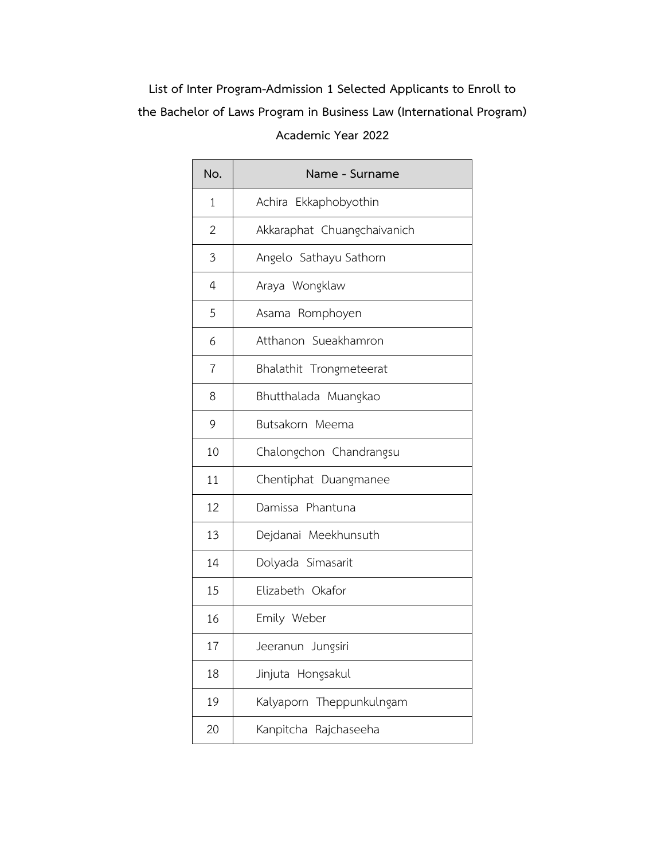| No.            | Name - Surname              |
|----------------|-----------------------------|
| $\mathbf{1}$   | Achira Ekkaphobyothin       |
| $\overline{2}$ | Akkaraphat Chuangchaivanich |
| 3              | Angelo Sathayu Sathorn      |
| $\overline{4}$ | Araya Wongklaw              |
| 5              | Asama Romphoyen             |
| 6              | Atthanon Sueakhamron        |
| $\overline{7}$ | Bhalathit Trongmeteerat     |
| 8              | Bhutthalada Muangkao        |
| 9              | Butsakorn Meema             |
| 10             | Chalongchon Chandrangsu     |
| 11             | Chentiphat Duangmanee       |
| 12             | Damissa Phantuna            |
| 13             | Dejdanai Meekhunsuth        |
| 14             | Dolyada Simasarit           |
| 15             | Elizabeth Okafor            |
| 16             | Emily Weber                 |
| 17             | Jeeranun Jungsiri           |
| 18             | Jinjuta Hongsakul           |
| 19             | Theppunkulngam<br>Kalyaporn |
| 20             | Kanpitcha Rajchaseeha       |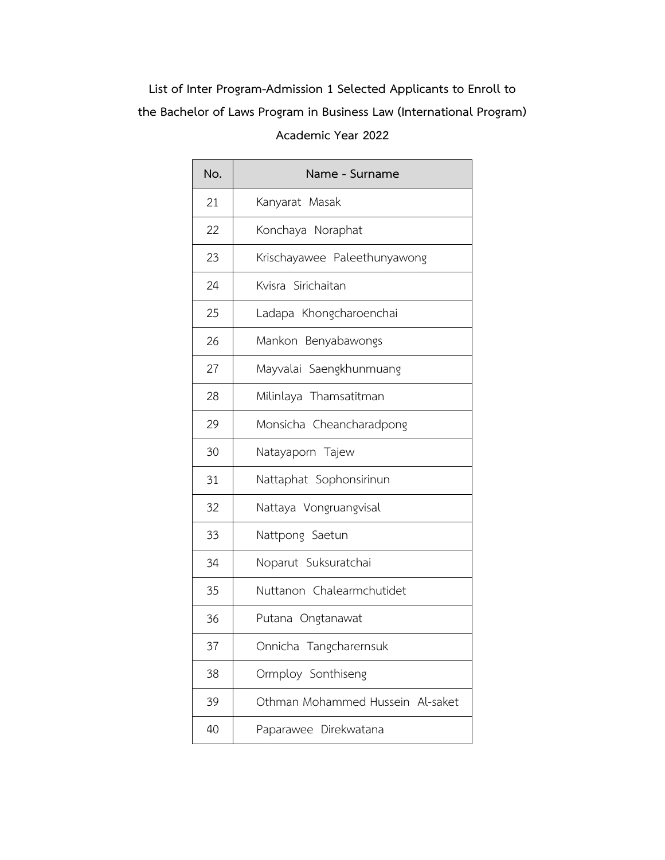| No. | Name - Surname                   |
|-----|----------------------------------|
| 21  | Kanyarat Masak                   |
| 22  | Konchaya Noraphat                |
| 23  | Krischayawee Paleethunyawong     |
| 24  | Kvisra Sirichaitan               |
| 25  | Ladapa Khongcharoenchai          |
| 26  | Mankon Benyabawongs              |
| 27  | Mayvalai Saengkhunmuang          |
| 28  | Milinlaya Thamsatitman           |
| 29  | Monsicha Cheancharadpong         |
| 30  | Natayaporn Tajew                 |
| 31  | Nattaphat Sophonsirinun          |
| 32  | Nattaya Vongruangvisal           |
| 33  | Nattpong Saetun                  |
| 34  | Noparut Suksuratchai             |
| 35  | Nuttanon Chalearmchutidet        |
| 36  | Putana Ongtanawat                |
| 37  | Onnicha Tangcharernsuk           |
| 38  | Ormploy Sonthiseng               |
| 39  | Othman Mohammed Hussein Al-saket |
| 40  | Paparawee Direkwatana            |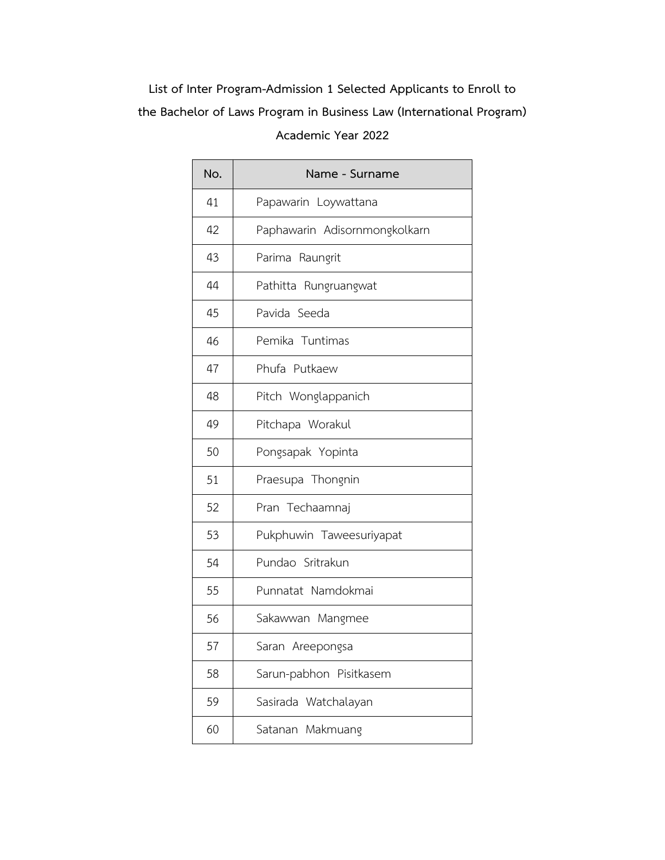| No. | Name - Surname                |
|-----|-------------------------------|
| 41  | Papawarin Loywattana          |
| 42  | Paphawarin Adisornmongkolkarn |
| 43  | Parima Raungrit               |
| 44  | Pathitta Rungruangwat         |
| 45  | Pavida Seeda                  |
| 46  | Pemika Tuntimas               |
| 47  | Phufa Putkaew                 |
| 48  | Pitch Wonglappanich           |
| 49  | Pitchapa Worakul              |
| 50  | Pongsapak Yopinta             |
| 51  | Praesupa Thongnin             |
| 52  | Pran Techaamnaj               |
| 53  | Pukphuwin Taweesuriyapat      |
| 54  | Pundao Sritrakun              |
| 55  | Punnatat Namdokmai            |
| 56  | Sakawwan Mangmee              |
| 57  | Saran Areepongsa              |
| 58  | Sarun-pabhon Pisitkasem       |
| 59  | Sasirada Watchalayan          |
| 60  | Satanan Makmuang              |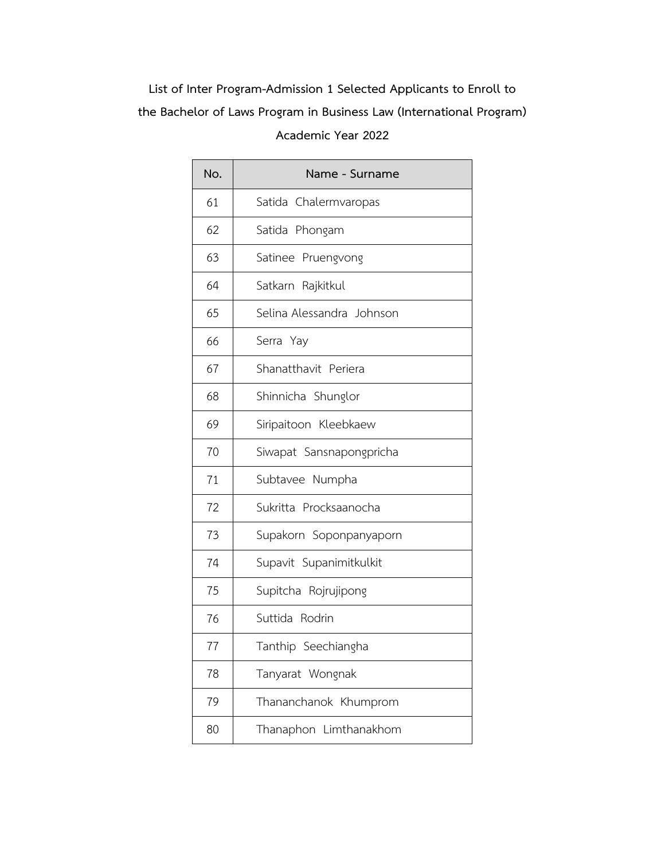| No. | Name - Surname            |
|-----|---------------------------|
| 61  | Satida Chalermvaropas     |
| 62  | Satida Phongam            |
| 63  | Satinee Pruengvong        |
| 64  | Satkarn Rajkitkul         |
| 65  | Selina Alessandra Johnson |
| 66  | Serra Yay                 |
| 67  | Shanatthavit Periera      |
| 68  | Shinnicha Shunglor        |
| 69  | Siripaitoon Kleebkaew     |
| 70  | Siwapat Sansnapongpricha  |
| 71  | Subtavee Numpha           |
| 72  | Sukritta Procksaanocha    |
| 73  | Supakorn Soponpanyaporn   |
| 74  | Supavit Supanimitkulkit   |
| 75  | Supitcha Rojrujipong      |
| 76  | Suttida Rodrin            |
| 77  | Tanthip Seechiangha       |
| 78  | Tanyarat Wongnak          |
| 79  | Thananchanok Khumprom     |
| 80  | Thanaphon Limthanakhom    |